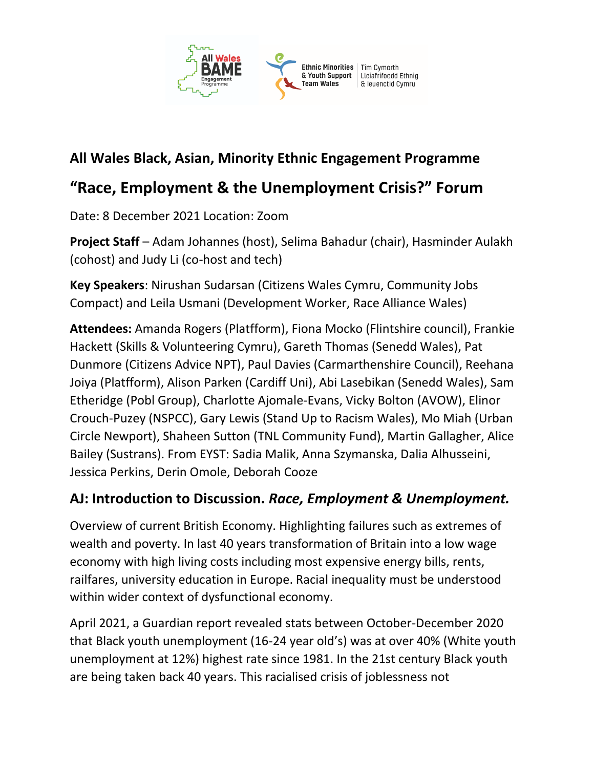

## **All Wales Black, Asian, Minority Ethnic Engagement Programme**

## **"Race, Employment & the Unemployment Crisis?" Forum**

Date: 8 December 2021 Location: Zoom

**Project Staff** – Adam Johannes (host), Selima Bahadur (chair), Hasminder Aulakh (cohost) and Judy Li (co-host and tech)

**Key Speakers**: Nirushan Sudarsan (Citizens Wales Cymru, Community Jobs Compact) and Leila Usmani (Development Worker, Race Alliance Wales)

**Attendees:** Amanda Rogers (Platfform), Fiona Mocko (Flintshire council), Frankie Hackett (Skills & Volunteering Cymru), Gareth Thomas (Senedd Wales), Pat Dunmore (Citizens Advice NPT), Paul Davies (Carmarthenshire Council), Reehana Joiya (Platfform), Alison Parken (Cardiff Uni), Abi Lasebikan (Senedd Wales), Sam Etheridge (Pobl Group), Charlotte Ajomale-Evans, Vicky Bolton (AVOW), Elinor Crouch-Puzey (NSPCC), Gary Lewis (Stand Up to Racism Wales), Mo Miah (Urban Circle Newport), Shaheen Sutton (TNL Community Fund), Martin Gallagher, Alice Bailey (Sustrans). From EYST: Sadia Malik, Anna Szymanska, Dalia Alhusseini, Jessica Perkins, Derin Omole, Deborah Cooze

## **AJ: Introduction to Discussion.** *Race, Employment & Unemployment.*

Overview of current British Economy. Highlighting failures such as extremes of wealth and poverty. In last 40 years transformation of Britain into a low wage economy with high living costs including most expensive energy bills, rents, railfares, university education in Europe. Racial inequality must be understood within wider context of dysfunctional economy.

April 2021, a Guardian report revealed stats between October-December 2020 that Black youth unemployment (16-24 year old's) was at over 40% (White youth unemployment at 12%) highest rate since 1981. In the 21st century Black youth are being taken back 40 years. This racialised crisis of joblessness not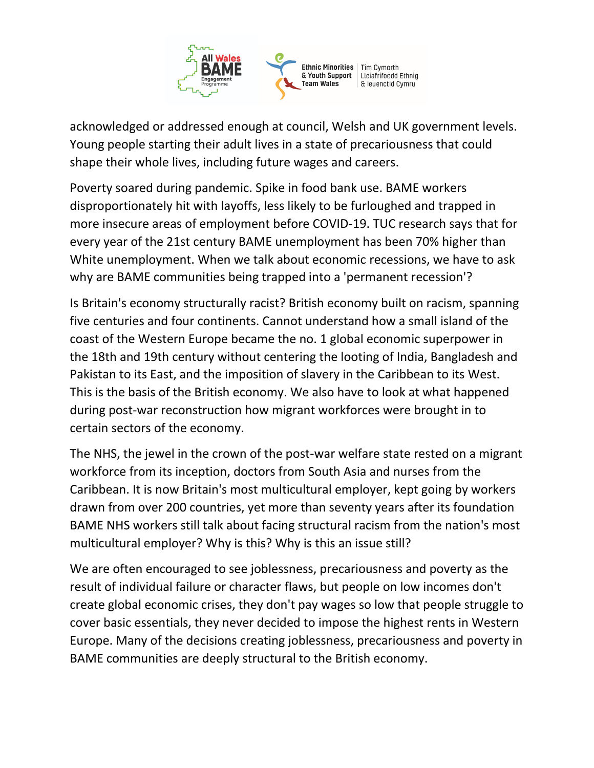

acknowledged or addressed enough at council, Welsh and UK government levels. Young people starting their adult lives in a state of precariousness that could shape their whole lives, including future wages and careers.

Poverty soared during pandemic. Spike in food bank use. BAME workers disproportionately hit with layoffs, less likely to be furloughed and trapped in more insecure areas of employment before COVID-19. TUC research says that for every year of the 21st century BAME unemployment has been 70% higher than White unemployment. When we talk about economic recessions, we have to ask why are BAME communities being trapped into a 'permanent recession'?

Is Britain's economy structurally racist? British economy built on racism, spanning five centuries and four continents. Cannot understand how a small island of the coast of the Western Europe became the no. 1 global economic superpower in the 18th and 19th century without centering the looting of India, Bangladesh and Pakistan to its East, and the imposition of slavery in the Caribbean to its West. This is the basis of the British economy. We also have to look at what happened during post-war reconstruction how migrant workforces were brought in to certain sectors of the economy.

The NHS, the jewel in the crown of the post-war welfare state rested on a migrant workforce from its inception, doctors from South Asia and nurses from the Caribbean. It is now Britain's most multicultural employer, kept going by workers drawn from over 200 countries, yet more than seventy years after its foundation BAME NHS workers still talk about facing structural racism from the nation's most multicultural employer? Why is this? Why is this an issue still?

We are often encouraged to see joblessness, precariousness and poverty as the result of individual failure or character flaws, but people on low incomes don't create global economic crises, they don't pay wages so low that people struggle to cover basic essentials, they never decided to impose the highest rents in Western Europe. Many of the decisions creating joblessness, precariousness and poverty in BAME communities are deeply structural to the British economy.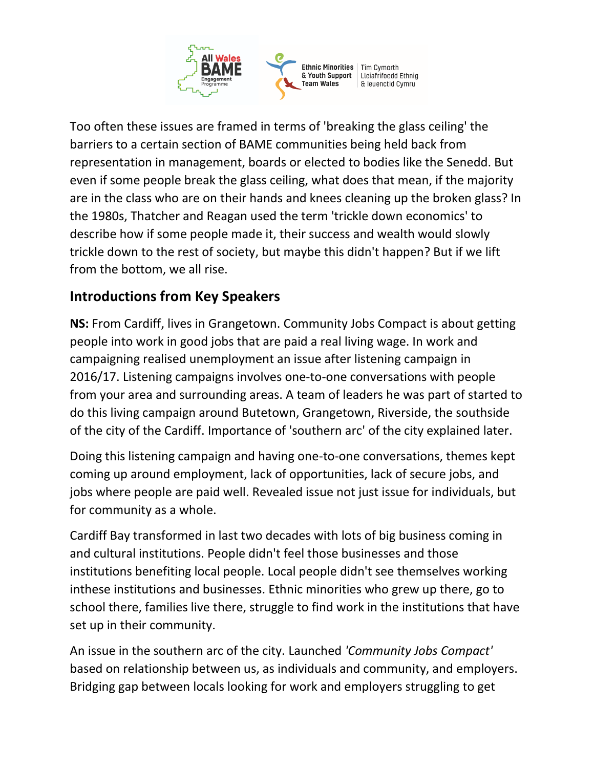

Too often these issues are framed in terms of 'breaking the glass ceiling' the barriers to a certain section of BAME communities being held back from representation in management, boards or elected to bodies like the Senedd. But even if some people break the glass ceiling, what does that mean, if the majority are in the class who are on their hands and knees cleaning up the broken glass? In the 1980s, Thatcher and Reagan used the term 'trickle down economics' to describe how if some people made it, their success and wealth would slowly trickle down to the rest of society, but maybe this didn't happen? But if we lift from the bottom, we all rise.

## **Introductions from Key Speakers**

**NS:** From Cardiff, lives in Grangetown. Community Jobs Compact is about getting people into work in good jobs that are paid a real living wage. In work and campaigning realised unemployment an issue after listening campaign in 2016/17. Listening campaigns involves one-to-one conversations with people from your area and surrounding areas. A team of leaders he was part of started to do this living campaign around Butetown, Grangetown, Riverside, the southside of the city of the Cardiff. Importance of 'southern arc' of the city explained later.

Doing this listening campaign and having one-to-one conversations, themes kept coming up around employment, lack of opportunities, lack of secure jobs, and jobs where people are paid well. Revealed issue not just issue for individuals, but for community as a whole.

Cardiff Bay transformed in last two decades with lots of big business coming in and cultural institutions. People didn't feel those businesses and those institutions benefiting local people. Local people didn't see themselves working inthese institutions and businesses. Ethnic minorities who grew up there, go to school there, families live there, struggle to find work in the institutions that have set up in their community.

An issue in the southern arc of the city. Launched *'Community Jobs Compact'* based on relationship between us, as individuals and community, and employers. Bridging gap between locals looking for work and employers struggling to get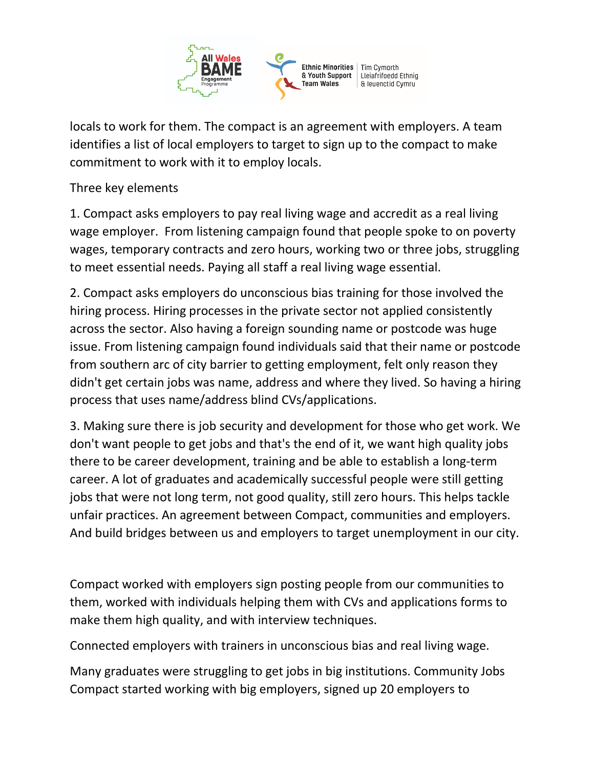

locals to work for them. The compact is an agreement with employers. A team identifies a list of local employers to target to sign up to the compact to make commitment to work with it to employ locals.

Three key elements

1. Compact asks employers to pay real living wage and accredit as a real living wage employer. From listening campaign found that people spoke to on poverty wages, temporary contracts and zero hours, working two or three jobs, struggling to meet essential needs. Paying all staff a real living wage essential.

2. Compact asks employers do unconscious bias training for those involved the hiring process. Hiring processes in the private sector not applied consistently across the sector. Also having a foreign sounding name or postcode was huge issue. From listening campaign found individuals said that their name or postcode from southern arc of city barrier to getting employment, felt only reason they didn't get certain jobs was name, address and where they lived. So having a hiring process that uses name/address blind CVs/applications.

3. Making sure there is job security and development for those who get work. We don't want people to get jobs and that's the end of it, we want high quality jobs there to be career development, training and be able to establish a long-term career. A lot of graduates and academically successful people were still getting jobs that were not long term, not good quality, still zero hours. This helps tackle unfair practices. An agreement between Compact, communities and employers. And build bridges between us and employers to target unemployment in our city.

Compact worked with employers sign posting people from our communities to them, worked with individuals helping them with CVs and applications forms to make them high quality, and with interview techniques.

Connected employers with trainers in unconscious bias and real living wage.

Many graduates were struggling to get jobs in big institutions. Community Jobs Compact started working with big employers, signed up 20 employers to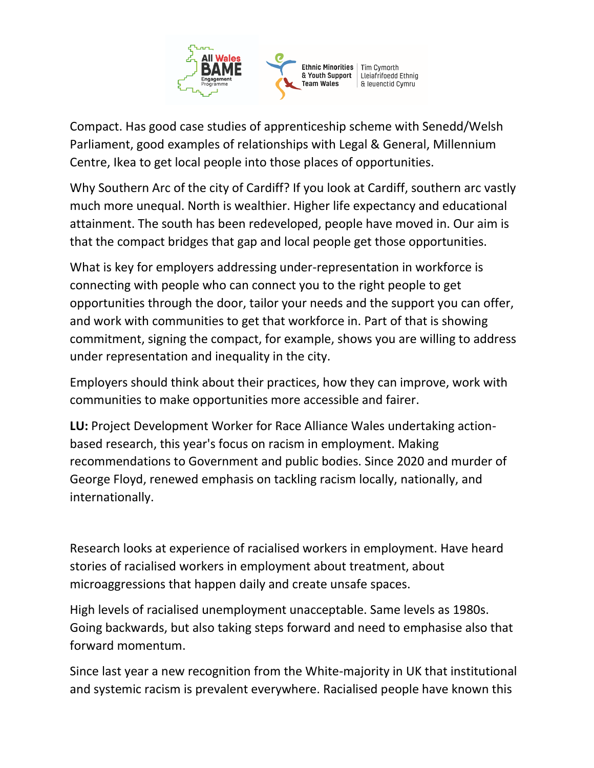

Compact. Has good case studies of apprenticeship scheme with Senedd/Welsh Parliament, good examples of relationships with Legal & General, Millennium Centre, Ikea to get local people into those places of opportunities.

Why Southern Arc of the city of Cardiff? If you look at Cardiff, southern arc vastly much more unequal. North is wealthier. Higher life expectancy and educational attainment. The south has been redeveloped, people have moved in. Our aim is that the compact bridges that gap and local people get those opportunities.

What is key for employers addressing under-representation in workforce is connecting with people who can connect you to the right people to get opportunities through the door, tailor your needs and the support you can offer, and work with communities to get that workforce in. Part of that is showing commitment, signing the compact, for example, shows you are willing to address under representation and inequality in the city.

Employers should think about their practices, how they can improve, work with communities to make opportunities more accessible and fairer.

**LU:** Project Development Worker for Race Alliance Wales undertaking actionbased research, this year's focus on racism in employment. Making recommendations to Government and public bodies. Since 2020 and murder of George Floyd, renewed emphasis on tackling racism locally, nationally, and internationally.

Research looks at experience of racialised workers in employment. Have heard stories of racialised workers in employment about treatment, about microaggressions that happen daily and create unsafe spaces.

High levels of racialised unemployment unacceptable. Same levels as 1980s. Going backwards, but also taking steps forward and need to emphasise also that forward momentum.

Since last year a new recognition from the White-majority in UK that institutional and systemic racism is prevalent everywhere. Racialised people have known this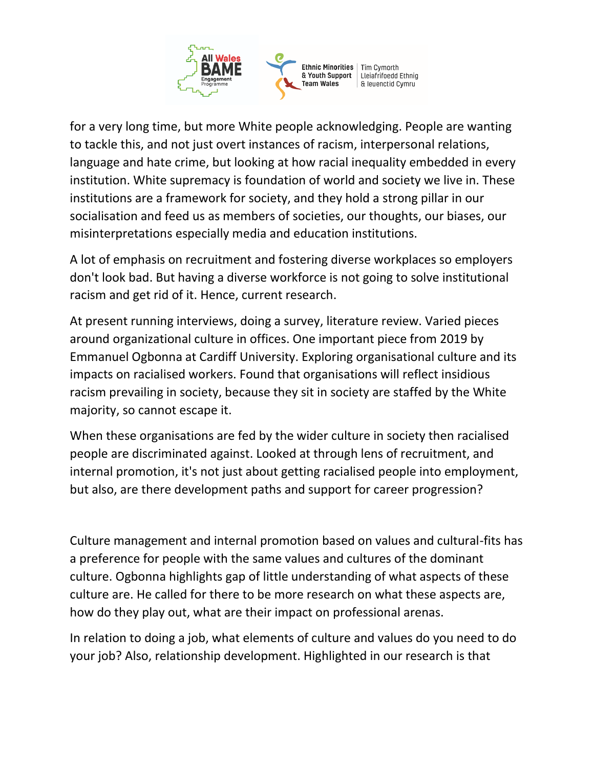

for a very long time, but more White people acknowledging. People are wanting to tackle this, and not just overt instances of racism, interpersonal relations, language and hate crime, but looking at how racial inequality embedded in every institution. White supremacy is foundation of world and society we live in. These institutions are a framework for society, and they hold a strong pillar in our socialisation and feed us as members of societies, our thoughts, our biases, our misinterpretations especially media and education institutions.

A lot of emphasis on recruitment and fostering diverse workplaces so employers don't look bad. But having a diverse workforce is not going to solve institutional racism and get rid of it. Hence, current research.

At present running interviews, doing a survey, literature review. Varied pieces around organizational culture in offices. One important piece from 2019 by Emmanuel Ogbonna at Cardiff University. Exploring organisational culture and its impacts on racialised workers. Found that organisations will reflect insidious racism prevailing in society, because they sit in society are staffed by the White majority, so cannot escape it.

When these organisations are fed by the wider culture in society then racialised people are discriminated against. Looked at through lens of recruitment, and internal promotion, it's not just about getting racialised people into employment, but also, are there development paths and support for career progression?

Culture management and internal promotion based on values and cultural-fits has a preference for people with the same values and cultures of the dominant culture. Ogbonna highlights gap of little understanding of what aspects of these culture are. He called for there to be more research on what these aspects are, how do they play out, what are their impact on professional arenas.

In relation to doing a job, what elements of culture and values do you need to do your job? Also, relationship development. Highlighted in our research is that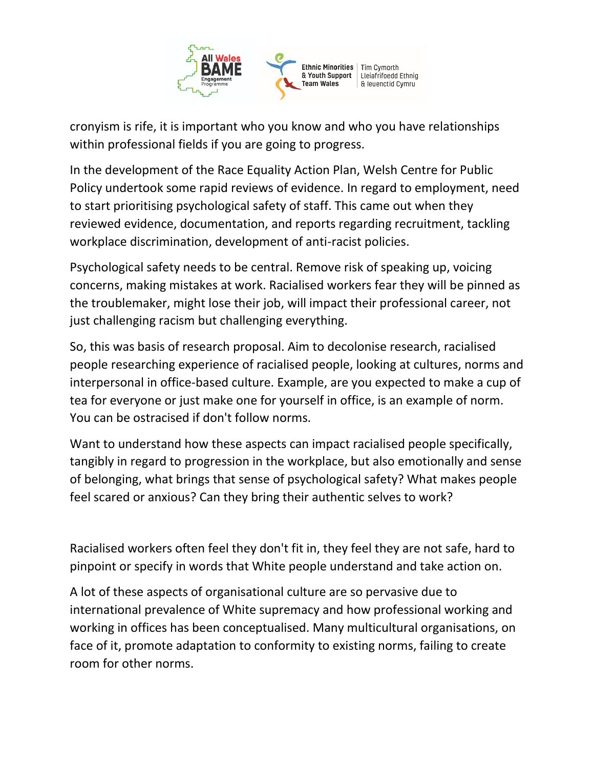

cronyism is rife, it is important who you know and who you have relationships within professional fields if you are going to progress.

In the development of the Race Equality Action Plan, Welsh Centre for Public Policy undertook some rapid reviews of evidence. In regard to employment, need to start prioritising psychological safety of staff. This came out when they reviewed evidence, documentation, and reports regarding recruitment, tackling workplace discrimination, development of anti-racist policies.

Psychological safety needs to be central. Remove risk of speaking up, voicing concerns, making mistakes at work. Racialised workers fear they will be pinned as the troublemaker, might lose their job, will impact their professional career, not just challenging racism but challenging everything.

So, this was basis of research proposal. Aim to decolonise research, racialised people researching experience of racialised people, looking at cultures, norms and interpersonal in office-based culture. Example, are you expected to make a cup of tea for everyone or just make one for yourself in office, is an example of norm. You can be ostracised if don't follow norms.

Want to understand how these aspects can impact racialised people specifically, tangibly in regard to progression in the workplace, but also emotionally and sense of belonging, what brings that sense of psychological safety? What makes people feel scared or anxious? Can they bring their authentic selves to work?

Racialised workers often feel they don't fit in, they feel they are not safe, hard to pinpoint or specify in words that White people understand and take action on.

A lot of these aspects of organisational culture are so pervasive due to international prevalence of White supremacy and how professional working and working in offices has been conceptualised. Many multicultural organisations, on face of it, promote adaptation to conformity to existing norms, failing to create room for other norms.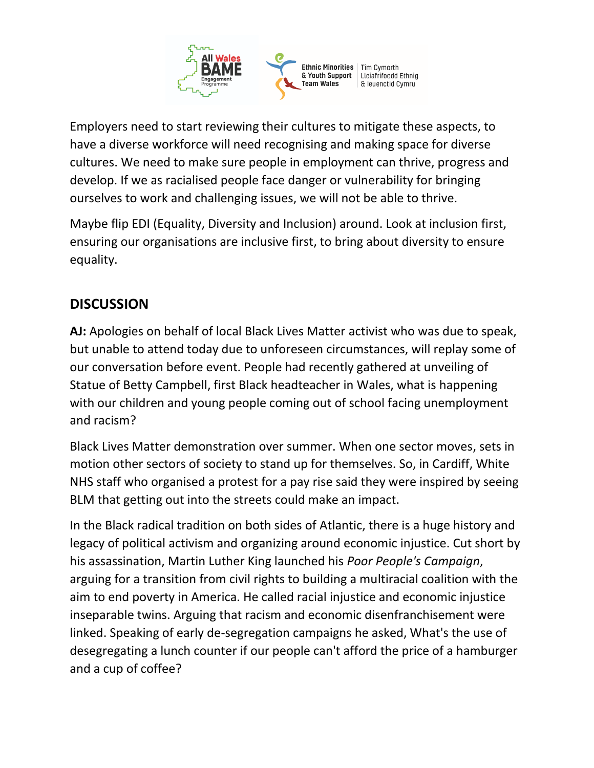

Employers need to start reviewing their cultures to mitigate these aspects, to have a diverse workforce will need recognising and making space for diverse cultures. We need to make sure people in employment can thrive, progress and develop. If we as racialised people face danger or vulnerability for bringing ourselves to work and challenging issues, we will not be able to thrive.

Maybe flip EDI (Equality, Diversity and Inclusion) around. Look at inclusion first, ensuring our organisations are inclusive first, to bring about diversity to ensure equality.

## **DISCUSSION**

**AJ:** Apologies on behalf of local Black Lives Matter activist who was due to speak, but unable to attend today due to unforeseen circumstances, will replay some of our conversation before event. People had recently gathered at unveiling of Statue of Betty Campbell, first Black headteacher in Wales, what is happening with our children and young people coming out of school facing unemployment and racism?

Black Lives Matter demonstration over summer. When one sector moves, sets in motion other sectors of society to stand up for themselves. So, in Cardiff, White NHS staff who organised a protest for a pay rise said they were inspired by seeing BLM that getting out into the streets could make an impact.

In the Black radical tradition on both sides of Atlantic, there is a huge history and legacy of political activism and organizing around economic injustice. Cut short by his assassination, Martin Luther King launched his *Poor People's Campaign*, arguing for a transition from civil rights to building a multiracial coalition with the aim to end poverty in America. He called racial injustice and economic injustice inseparable twins. Arguing that racism and economic disenfranchisement were linked. Speaking of early de-segregation campaigns he asked, What's the use of desegregating a lunch counter if our people can't afford the price of a hamburger and a cup of coffee?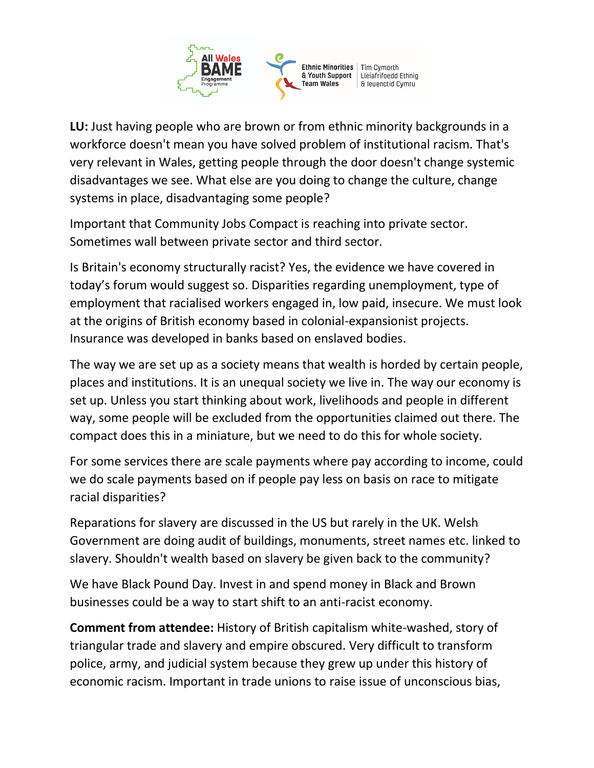

**LU:** Just having people who are brown or from ethnic minority backgrounds in a workforce doesn't mean you have solved problem of institutional racism. That's very relevant in Wales, getting people through the door doesn't change systemic disadvantages we see. What else are you doing to change the culture, change systems in place, disadvantaging some people?

Important that Community Jobs Compact is reaching into private sector. Sometimes wall between private sector and third sector.

Is Britain's economy structurally racist? Yes, the evidence we have covered in today's forum would suggest so. Disparities regarding unemployment, type of employment that racialised workers engaged in, low paid, insecure. We must look at the origins of British economy based in colonial-expansionist projects. Insurance was developed in banks based on enslaved bodies.

The way we are set up as a society means that wealth is horded by certain people, places and institutions. It is an unequal society we live in. The way our economy is set up. Unless you start thinking about work, livelihoods and people in different way, some people will be excluded from the opportunities claimed out there. The compact does this in a miniature, but we need to do this for whole society.

For some services there are scale payments where pay according to income, could we do scale payments based on if people pay less on basis on race to mitigate racial disparities?

Reparations for slavery are discussed in the US but rarely in the UK. Welsh Government are doing audit of buildings, monuments, street names etc. linked to slavery. Shouldn't wealth based on slavery be given back to the community?

We have Black Pound Day. Invest in and spend money in Black and Brown businesses could be a way to start shift to an anti-racist economy.

**Comment from attendee:** History of British capitalism white-washed, story of triangular trade and slavery and empire obscured. Very difficult to transform police, army, and judicial system because they grew up under this history of economic racism. Important in trade unions to raise issue of unconscious bias,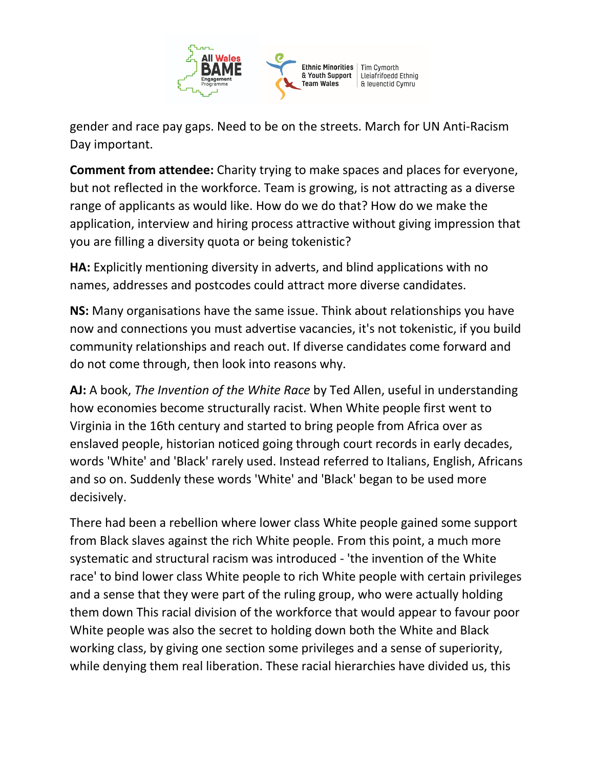

gender and race pay gaps. Need to be on the streets. March for UN Anti-Racism Day important.

**Comment from attendee:** Charity trying to make spaces and places for everyone, but not reflected in the workforce. Team is growing, is not attracting as a diverse range of applicants as would like. How do we do that? How do we make the application, interview and hiring process attractive without giving impression that you are filling a diversity quota or being tokenistic?

**HA:** Explicitly mentioning diversity in adverts, and blind applications with no names, addresses and postcodes could attract more diverse candidates.

**NS:** Many organisations have the same issue. Think about relationships you have now and connections you must advertise vacancies, it's not tokenistic, if you build community relationships and reach out. If diverse candidates come forward and do not come through, then look into reasons why.

**AJ:** A book, *The Invention of the White Race* by Ted Allen, useful in understanding how economies become structurally racist. When White people first went to Virginia in the 16th century and started to bring people from Africa over as enslaved people, historian noticed going through court records in early decades, words 'White' and 'Black' rarely used. Instead referred to Italians, English, Africans and so on. Suddenly these words 'White' and 'Black' began to be used more decisively.

There had been a rebellion where lower class White people gained some support from Black slaves against the rich White people. From this point, a much more systematic and structural racism was introduced - 'the invention of the White race' to bind lower class White people to rich White people with certain privileges and a sense that they were part of the ruling group, who were actually holding them down This racial division of the workforce that would appear to favour poor White people was also the secret to holding down both the White and Black working class, by giving one section some privileges and a sense of superiority, while denying them real liberation. These racial hierarchies have divided us, this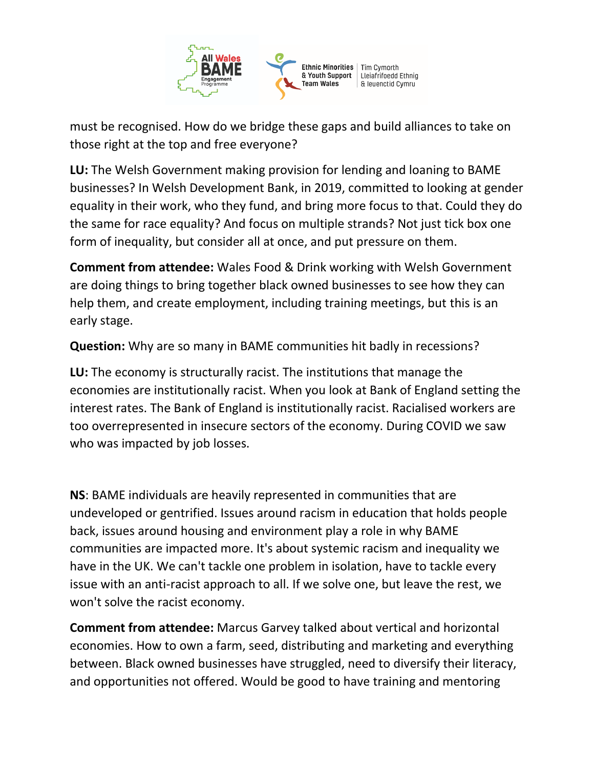

must be recognised. How do we bridge these gaps and build alliances to take on those right at the top and free everyone?

**LU:** The Welsh Government making provision for lending and loaning to BAME businesses? In Welsh Development Bank, in 2019, committed to looking at gender equality in their work, who they fund, and bring more focus to that. Could they do the same for race equality? And focus on multiple strands? Not just tick box one form of inequality, but consider all at once, and put pressure on them.

**Comment from attendee:** Wales Food & Drink working with Welsh Government are doing things to bring together black owned businesses to see how they can help them, and create employment, including training meetings, but this is an early stage.

**Question:** Why are so many in BAME communities hit badly in recessions?

**LU:** The economy is structurally racist. The institutions that manage the economies are institutionally racist. When you look at Bank of England setting the interest rates. The Bank of England is institutionally racist. Racialised workers are too overrepresented in insecure sectors of the economy. During COVID we saw who was impacted by job losses.

**NS**: BAME individuals are heavily represented in communities that are undeveloped or gentrified. Issues around racism in education that holds people back, issues around housing and environment play a role in why BAME communities are impacted more. It's about systemic racism and inequality we have in the UK. We can't tackle one problem in isolation, have to tackle every issue with an anti-racist approach to all. If we solve one, but leave the rest, we won't solve the racist economy.

**Comment from attendee:** Marcus Garvey talked about vertical and horizontal economies. How to own a farm, seed, distributing and marketing and everything between. Black owned businesses have struggled, need to diversify their literacy, and opportunities not offered. Would be good to have training and mentoring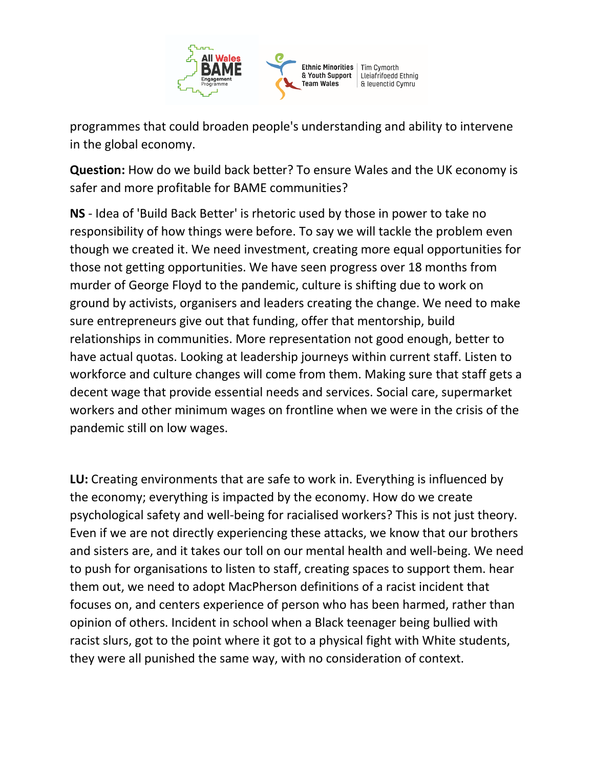

programmes that could broaden people's understanding and ability to intervene in the global economy.

**Question:** How do we build back better? To ensure Wales and the UK economy is safer and more profitable for BAME communities?

**NS** - Idea of 'Build Back Better' is rhetoric used by those in power to take no responsibility of how things were before. To say we will tackle the problem even though we created it. We need investment, creating more equal opportunities for those not getting opportunities. We have seen progress over 18 months from murder of George Floyd to the pandemic, culture is shifting due to work on ground by activists, organisers and leaders creating the change. We need to make sure entrepreneurs give out that funding, offer that mentorship, build relationships in communities. More representation not good enough, better to have actual quotas. Looking at leadership journeys within current staff. Listen to workforce and culture changes will come from them. Making sure that staff gets a decent wage that provide essential needs and services. Social care, supermarket workers and other minimum wages on frontline when we were in the crisis of the pandemic still on low wages.

**LU:** Creating environments that are safe to work in. Everything is influenced by the economy; everything is impacted by the economy. How do we create psychological safety and well-being for racialised workers? This is not just theory. Even if we are not directly experiencing these attacks, we know that our brothers and sisters are, and it takes our toll on our mental health and well-being. We need to push for organisations to listen to staff, creating spaces to support them. hear them out, we need to adopt MacPherson definitions of a racist incident that focuses on, and centers experience of person who has been harmed, rather than opinion of others. Incident in school when a Black teenager being bullied with racist slurs, got to the point where it got to a physical fight with White students, they were all punished the same way, with no consideration of context.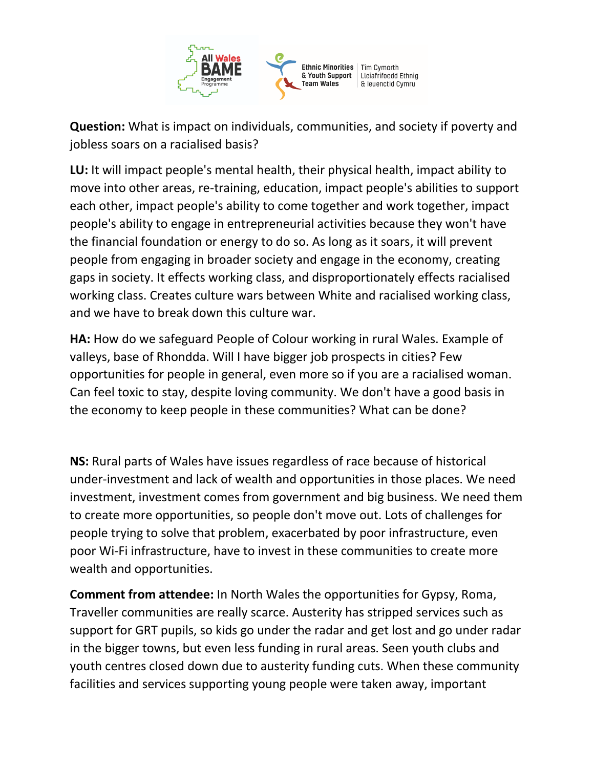

**Question:** What is impact on individuals, communities, and society if poverty and jobless soars on a racialised basis?

**LU:** It will impact people's mental health, their physical health, impact ability to move into other areas, re-training, education, impact people's abilities to support each other, impact people's ability to come together and work together, impact people's ability to engage in entrepreneurial activities because they won't have the financial foundation or energy to do so. As long as it soars, it will prevent people from engaging in broader society and engage in the economy, creating gaps in society. It effects working class, and disproportionately effects racialised working class. Creates culture wars between White and racialised working class, and we have to break down this culture war.

**HA:** How do we safeguard People of Colour working in rural Wales. Example of valleys, base of Rhondda. Will I have bigger job prospects in cities? Few opportunities for people in general, even more so if you are a racialised woman. Can feel toxic to stay, despite loving community. We don't have a good basis in the economy to keep people in these communities? What can be done?

**NS:** Rural parts of Wales have issues regardless of race because of historical under-investment and lack of wealth and opportunities in those places. We need investment, investment comes from government and big business. We need them to create more opportunities, so people don't move out. Lots of challenges for people trying to solve that problem, exacerbated by poor infrastructure, even poor Wi-Fi infrastructure, have to invest in these communities to create more wealth and opportunities.

**Comment from attendee:** In North Wales the opportunities for Gypsy, Roma, Traveller communities are really scarce. Austerity has stripped services such as support for GRT pupils, so kids go under the radar and get lost and go under radar in the bigger towns, but even less funding in rural areas. Seen youth clubs and youth centres closed down due to austerity funding cuts. When these community facilities and services supporting young people were taken away, important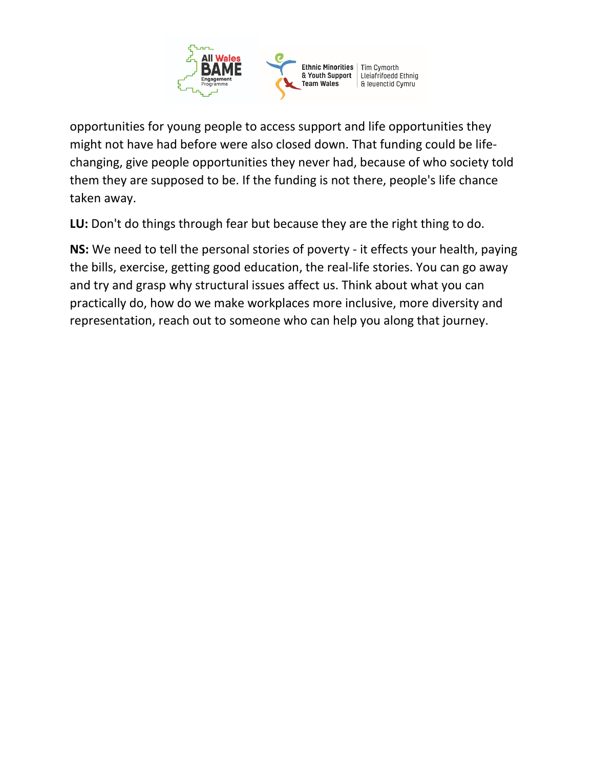

opportunities for young people to access support and life opportunities they might not have had before were also closed down. That funding could be lifechanging, give people opportunities they never had, because of who society told them they are supposed to be. If the funding is not there, people's life chance taken away.

**LU:** Don't do things through fear but because they are the right thing to do.

**NS:** We need to tell the personal stories of poverty - it effects your health, paying the bills, exercise, getting good education, the real-life stories. You can go away and try and grasp why structural issues affect us. Think about what you can practically do, how do we make workplaces more inclusive, more diversity and representation, reach out to someone who can help you along that journey.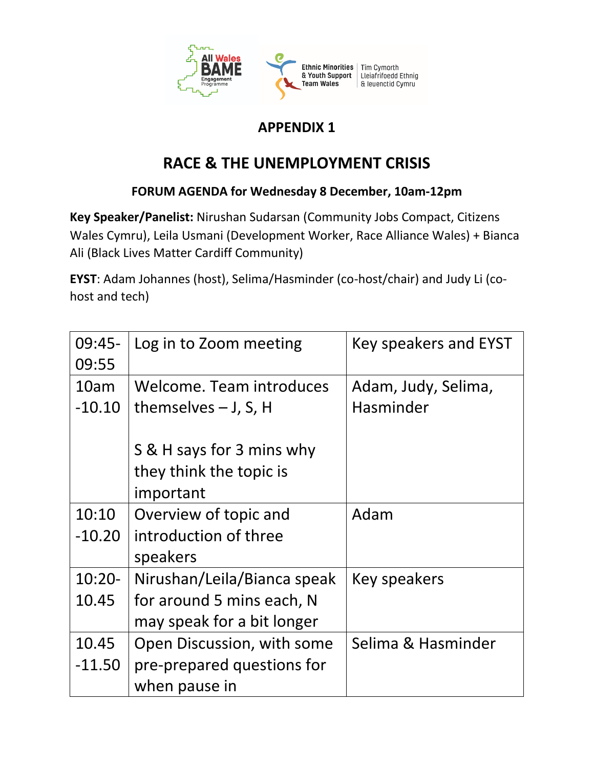

## **APPENDIX 1**

# **RACE & THE UNEMPLOYMENT CRISIS**

### **FORUM AGENDA for Wednesday 8 December, 10am-12pm**

**Key Speaker/Panelist:** Nirushan Sudarsan (Community Jobs Compact, Citizens Wales Cymru), Leila Usmani (Development Worker, Race Alliance Wales) + Bianca Ali (Black Lives Matter Cardiff Community)

**EYST**: Adam Johannes (host), Selima/Hasminder (co-host/chair) and Judy Li (cohost and tech)

| 09:45-    | Log in to Zoom meeting      | Key speakers and EYST |
|-----------|-----------------------------|-----------------------|
| 09:55     |                             |                       |
| 10am      | Welcome. Team introduces    | Adam, Judy, Selima,   |
| $-10.10$  | themselves $-$ J, S, H      | Hasminder             |
|           |                             |                       |
|           | S & H says for 3 mins why   |                       |
|           | they think the topic is     |                       |
|           | important                   |                       |
| 10:10     | Overview of topic and       | Adam                  |
| $-10.20$  | introduction of three       |                       |
|           | speakers                    |                       |
| $10:20 -$ | Nirushan/Leila/Bianca speak | Key speakers          |
| 10.45     | for around 5 mins each, N   |                       |
|           | may speak for a bit longer  |                       |
| 10.45     | Open Discussion, with some  | Selima & Hasminder    |
| $-11.50$  | pre-prepared questions for  |                       |
|           | when pause in               |                       |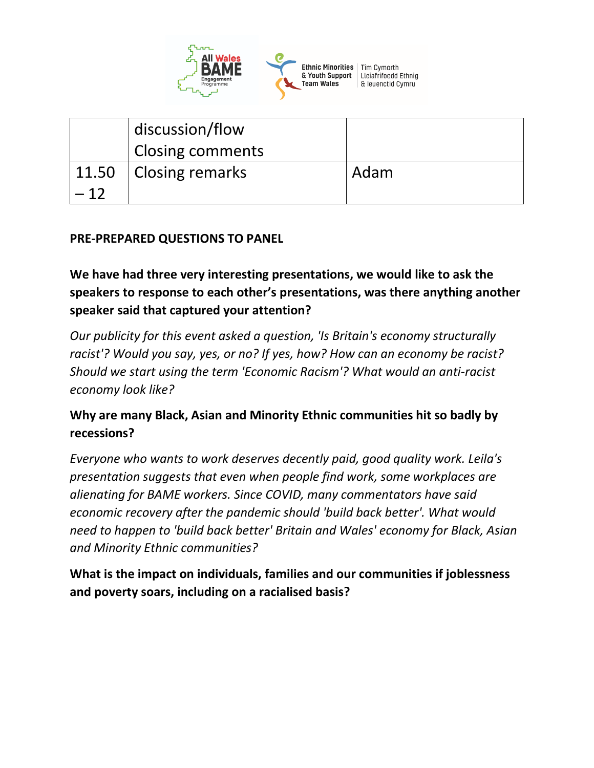

|       | discussion/flow<br><b>Closing comments</b> |      |
|-------|--------------------------------------------|------|
|       | 11.50 Closing remarks                      | Adam |
| $-12$ |                                            |      |

#### **PRE-PREPARED QUESTIONS TO PANEL**

**We have had three very interesting presentations, we would like to ask the speakers to response to each other's presentations, was there anything another speaker said that captured your attention?**

*Our publicity for this event asked a question, 'Is Britain's economy structurally racist'? Would you say, yes, or no? If yes, how? How can an economy be racist? Should we start using the term 'Economic Racism'? What would an anti-racist economy look like?*

### **Why are many Black, Asian and Minority Ethnic communities hit so badly by recessions?**

*Everyone who wants to work deserves decently paid, good quality work. Leila's presentation suggests that even when people find work, some workplaces are alienating for BAME workers. Since COVID, many commentators have said economic recovery after the pandemic should 'build back better'. What would need to happen to 'build back better' Britain and Wales' economy for Black, Asian and Minority Ethnic communities?* 

**What is the impact on individuals, families and our communities if joblessness and poverty soars, including on a racialised basis?**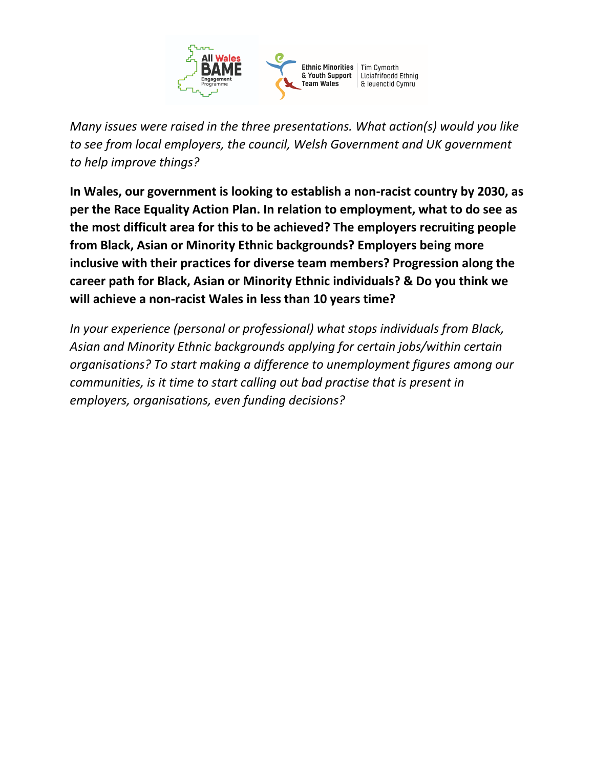

*Many issues were raised in the three presentations. What action(s) would you like to see from local employers, the council, Welsh Government and UK government to help improve things?*

**In Wales, our government is looking to establish a non-racist country by 2030, as per the Race Equality Action Plan. In relation to employment, what to do see as the most difficult area for this to be achieved? The employers recruiting people from Black, Asian or Minority Ethnic backgrounds? Employers being more inclusive with their practices for diverse team members? Progression along the career path for Black, Asian or Minority Ethnic individuals? & Do you think we will achieve a non-racist Wales in less than 10 years time?**

*In your experience (personal or professional) what stops individuals from Black, Asian and Minority Ethnic backgrounds applying for certain jobs/within certain organisations? To start making a difference to unemployment figures among our communities, is it time to start calling out bad practise that is present in employers, organisations, even funding decisions?*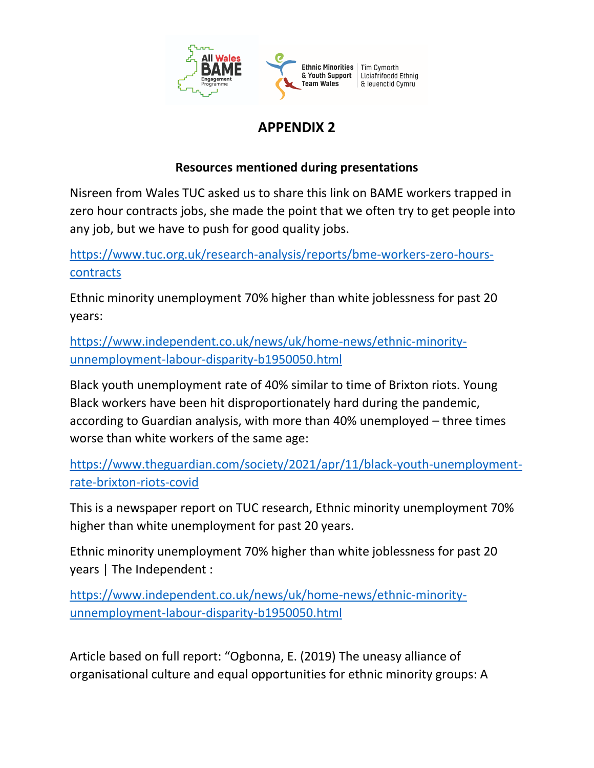

## **APPENDIX 2**

### **Resources mentioned during presentations**

Nisreen from Wales TUC asked us to share this link on BAME workers trapped in zero hour contracts jobs, she made the point that we often try to get people into any job, but we have to push for good quality jobs.

[https://www.tuc.org.uk/research-analysis/reports/bme-workers-zero-hours](https://www.tuc.org.uk/research-analysis/reports/bme-workers-zero-hours-contracts)[contracts](https://www.tuc.org.uk/research-analysis/reports/bme-workers-zero-hours-contracts)

Ethnic minority unemployment 70% higher than white joblessness for past 20 years:

[https://www.independent.co.uk/news/uk/home-news/ethnic-minority](https://www.independent.co.uk/news/uk/home-news/ethnic-minority-unnemployment-labour-disparity-b1950050.html)[unnemployment-labour-disparity-b1950050.html](https://www.independent.co.uk/news/uk/home-news/ethnic-minority-unnemployment-labour-disparity-b1950050.html)

Black youth unemployment rate of 40% similar to time of Brixton riots. Young Black workers have been hit disproportionately hard during the pandemic, according to Guardian analysis, with more than 40% unemployed – three times worse than white workers of the same age:

[https://www.theguardian.com/society/2021/apr/11/black-youth-unemployment](https://www.theguardian.com/society/2021/apr/11/black-youth-unemployment-rate-brixton-riots-covid)[rate-brixton-riots-covid](https://www.theguardian.com/society/2021/apr/11/black-youth-unemployment-rate-brixton-riots-covid)

This is a newspaper report on TUC research, Ethnic minority unemployment 70% higher than white unemployment for past 20 years.

Ethnic minority unemployment 70% higher than white joblessness for past 20 years | The Independent :

[https://www.independent.co.uk/news/uk/home-news/ethnic-minority](https://www.independent.co.uk/news/uk/home-news/ethnic-minority-unnemployment-labour-disparity-b1950050.html)[unnemployment-labour-disparity-b1950050.html](https://www.independent.co.uk/news/uk/home-news/ethnic-minority-unnemployment-labour-disparity-b1950050.html)

Article based on full report: "Ogbonna, E. (2019) The uneasy alliance of organisational culture and equal opportunities for ethnic minority groups: A